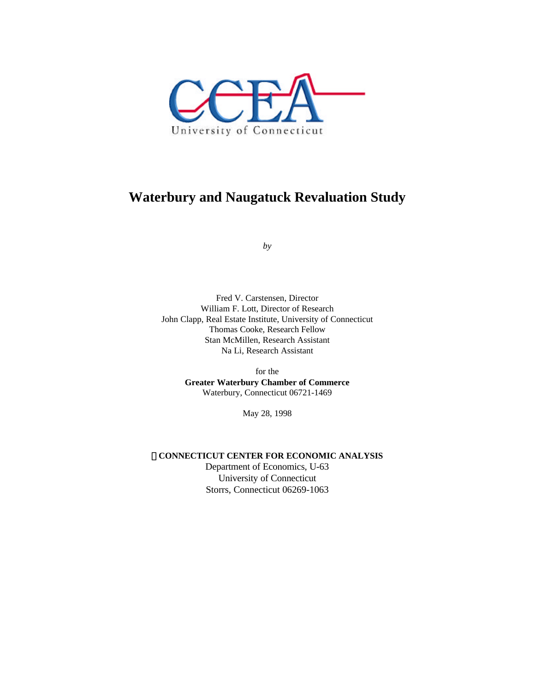

# **Waterbury and Naugatuck Revaluation Study**

*by*

Fred V. Carstensen, Director William F. Lott, Director of Research John Clapp, Real Estate Institute, University of Connecticut Thomas Cooke, Research Fellow Stan McMillen, Research Assistant Na Li, Research Assistant

> for the **Greater Waterbury Chamber of Commerce** Waterbury, Connecticut 06721-1469

> > May 28, 1998

**CONNECTICUT CENTER FOR ECONOMIC ANALYSIS**

Department of Economics, U-63 University of Connecticut Storrs, Connecticut 06269-1063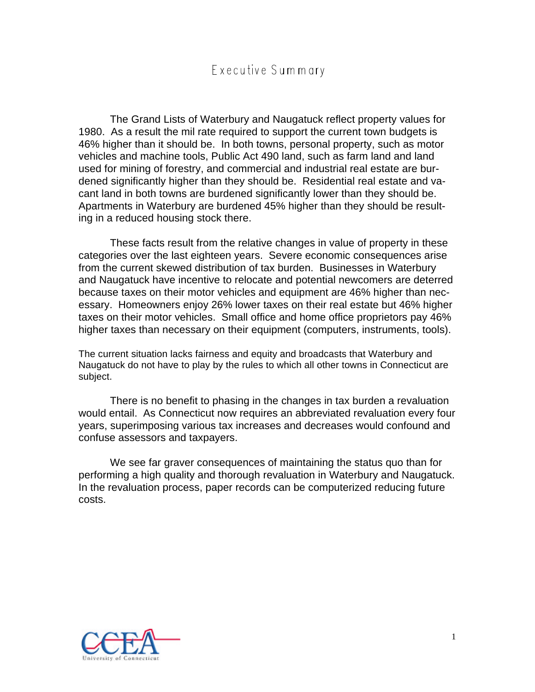# Executive Summary

The Grand Lists of Waterbury and Naugatuck reflect property values for 1980. As a result the mil rate required to support the current town budgets is 46% higher than it should be. In both towns, personal property, such as motor vehicles and machine tools, Public Act 490 land, such as farm land and land used for mining of forestry, and commercial and industrial real estate are burdened significantly higher than they should be. Residential real estate and vacant land in both towns are burdened significantly lower than they should be. Apartments in Waterbury are burdened 45% higher than they should be resulting in a reduced housing stock there.

These facts result from the relative changes in value of property in these categories over the last eighteen years. Severe economic consequences arise from the current skewed distribution of tax burden. Businesses in Waterbury and Naugatuck have incentive to relocate and potential newcomers are deterred because taxes on their motor vehicles and equipment are 46% higher than necessary. Homeowners enjoy 26% lower taxes on their real estate but 46% higher taxes on their motor vehicles. Small office and home office proprietors pay 46% higher taxes than necessary on their equipment (computers, instruments, tools).

The current situation lacks fairness and equity and broadcasts that Waterbury and Naugatuck do not have to play by the rules to which all other towns in Connecticut are subject.

There is no benefit to phasing in the changes in tax burden a revaluation would entail. As Connecticut now requires an abbreviated revaluation every four years, superimposing various tax increases and decreases would confound and confuse assessors and taxpayers.

We see far graver consequences of maintaining the status quo than for performing a high quality and thorough revaluation in Waterbury and Naugatuck. In the revaluation process, paper records can be computerized reducing future costs.

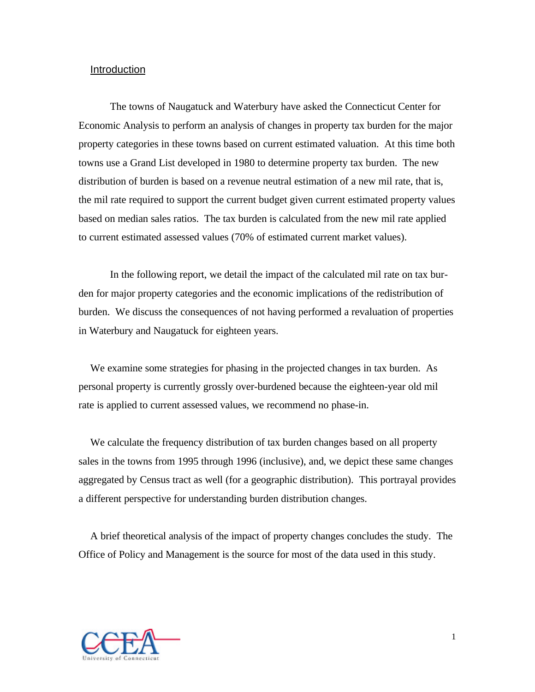### Introduction

The towns of Naugatuck and Waterbury have asked the Connecticut Center for Economic Analysis to perform an analysis of changes in property tax burden for the major property categories in these towns based on current estimated valuation. At this time both towns use a Grand List developed in 1980 to determine property tax burden. The new distribution of burden is based on a revenue neutral estimation of a new mil rate, that is, the mil rate required to support the current budget given current estimated property values based on median sales ratios. The tax burden is calculated from the new mil rate applied to current estimated assessed values (70% of estimated current market values).

In the following report, we detail the impact of the calculated mil rate on tax burden for major property categories and the economic implications of the redistribution of burden. We discuss the consequences of not having performed a revaluation of properties in Waterbury and Naugatuck for eighteen years.

We examine some strategies for phasing in the projected changes in tax burden. As personal property is currently grossly over-burdened because the eighteen-year old mil rate is applied to current assessed values, we recommend no phase-in.

We calculate the frequency distribution of tax burden changes based on all property sales in the towns from 1995 through 1996 (inclusive), and, we depict these same changes aggregated by Census tract as well (for a geographic distribution). This portrayal provides a different perspective for understanding burden distribution changes.

A brief theoretical analysis of the impact of property changes concludes the study. The Office of Policy and Management is the source for most of the data used in this study.

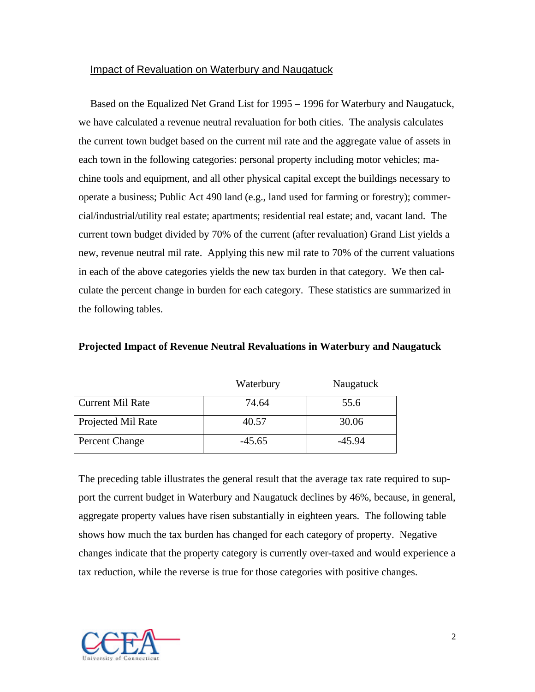# Impact of Revaluation on Waterbury and Naugatuck

Based on the Equalized Net Grand List for 1995 – 1996 for Waterbury and Naugatuck, we have calculated a revenue neutral revaluation for both cities. The analysis calculates the current town budget based on the current mil rate and the aggregate value of assets in each town in the following categories: personal property including motor vehicles; machine tools and equipment, and all other physical capital except the buildings necessary to operate a business; Public Act 490 land (e.g., land used for farming or forestry); commercial/industrial/utility real estate; apartments; residential real estate; and, vacant land. The current town budget divided by 70% of the current (after revaluation) Grand List yields a new, revenue neutral mil rate. Applying this new mil rate to 70% of the current valuations in each of the above categories yields the new tax burden in that category. We then calculate the percent change in burden for each category. These statistics are summarized in the following tables.

|                         | Waterbury | Naugatuck |
|-------------------------|-----------|-----------|
| <b>Current Mil Rate</b> | 74.64     | 55.6      |
| Projected Mil Rate      | 40.57     | 30.06     |
| Percent Change          | $-45.65$  | $-45.94$  |

**Projected Impact of Revenue Neutral Revaluations in Waterbury and Naugatuck**

The preceding table illustrates the general result that the average tax rate required to support the current budget in Waterbury and Naugatuck declines by 46%, because, in general, aggregate property values have risen substantially in eighteen years. The following table shows how much the tax burden has changed for each category of property. Negative changes indicate that the property category is currently over-taxed and would experience a tax reduction, while the reverse is true for those categories with positive changes.

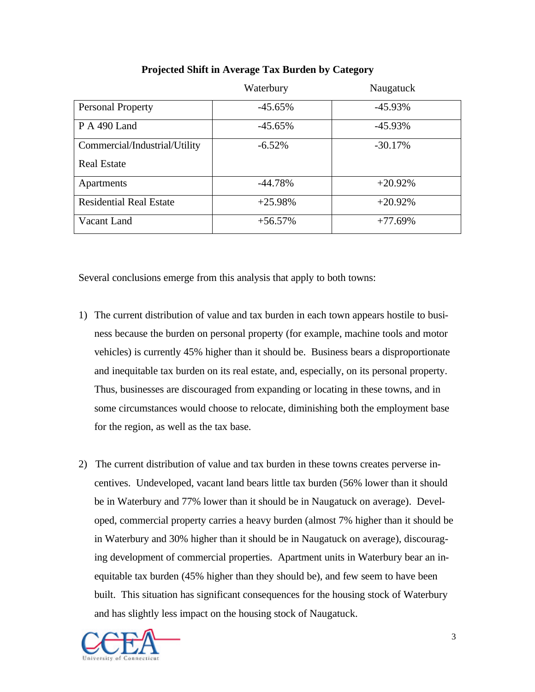|                                | Waterbury | Naugatuck  |  |  |
|--------------------------------|-----------|------------|--|--|
| <b>Personal Property</b>       | $-45.65%$ | $-45.93\%$ |  |  |
| <b>P</b> A 490 Land            | $-45.65%$ | $-45.93\%$ |  |  |
| Commercial/Industrial/Utility  | $-6.52\%$ | $-30.17%$  |  |  |
| <b>Real Estate</b>             |           |            |  |  |
| Apartments                     | $-44.78%$ | $+20.92%$  |  |  |
| <b>Residential Real Estate</b> | $+25.98%$ | $+20.92%$  |  |  |
| Vacant Land                    | $+56.57%$ | $+77.69%$  |  |  |

# **Projected Shift in Average Tax Burden by Category**

Several conclusions emerge from this analysis that apply to both towns:

- 1) The current distribution of value and tax burden in each town appears hostile to business because the burden on personal property (for example, machine tools and motor vehicles) is currently 45% higher than it should be. Business bears a disproportionate and inequitable tax burden on its real estate, and, especially, on its personal property. Thus, businesses are discouraged from expanding or locating in these towns, and in some circumstances would choose to relocate, diminishing both the employment base for the region, as well as the tax base.
- 2) The current distribution of value and tax burden in these towns creates perverse incentives. Undeveloped, vacant land bears little tax burden (56% lower than it should be in Waterbury and 77% lower than it should be in Naugatuck on average). Developed, commercial property carries a heavy burden (almost 7% higher than it should be in Waterbury and 30% higher than it should be in Naugatuck on average), discouraging development of commercial properties. Apartment units in Waterbury bear an inequitable tax burden (45% higher than they should be), and few seem to have been built. This situation has significant consequences for the housing stock of Waterbury and has slightly less impact on the housing stock of Naugatuck.

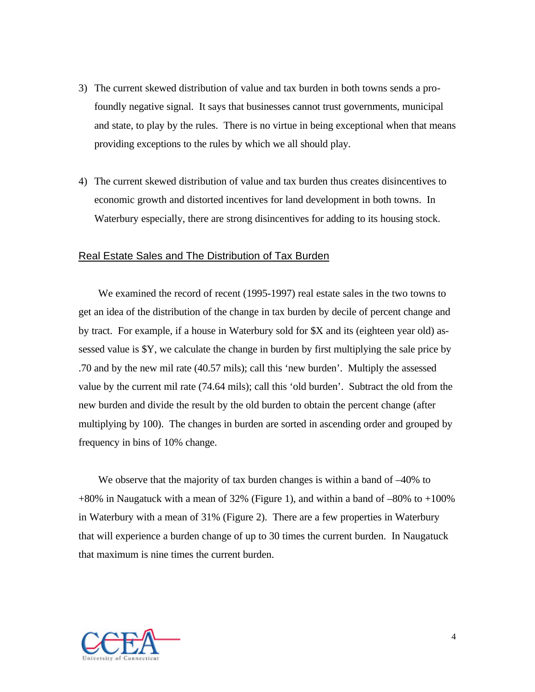- 3) The current skewed distribution of value and tax burden in both towns sends a profoundly negative signal. It says that businesses cannot trust governments, municipal and state, to play by the rules. There is no virtue in being exceptional when that means providing exceptions to the rules by which we all should play.
- 4) The current skewed distribution of value and tax burden thus creates disincentives to economic growth and distorted incentives for land development in both towns. In Waterbury especially, there are strong disincentives for adding to its housing stock.

# Real Estate Sales and The Distribution of Tax Burden

We examined the record of recent (1995-1997) real estate sales in the two towns to get an idea of the distribution of the change in tax burden by decile of percent change and by tract. For example, if a house in Waterbury sold for \$X and its (eighteen year old) assessed value is \$Y, we calculate the change in burden by first multiplying the sale price by .70 and by the new mil rate (40.57 mils); call this 'new burden'. Multiply the assessed value by the current mil rate (74.64 mils); call this 'old burden'. Subtract the old from the new burden and divide the result by the old burden to obtain the percent change (after multiplying by 100). The changes in burden are sorted in ascending order and grouped by frequency in bins of 10% change.

We observe that the majority of tax burden changes is within a band of –40% to +80% in Naugatuck with a mean of 32% (Figure 1), and within a band of –80% to +100% in Waterbury with a mean of 31% (Figure 2). There are a few properties in Waterbury that will experience a burden change of up to 30 times the current burden. In Naugatuck that maximum is nine times the current burden.

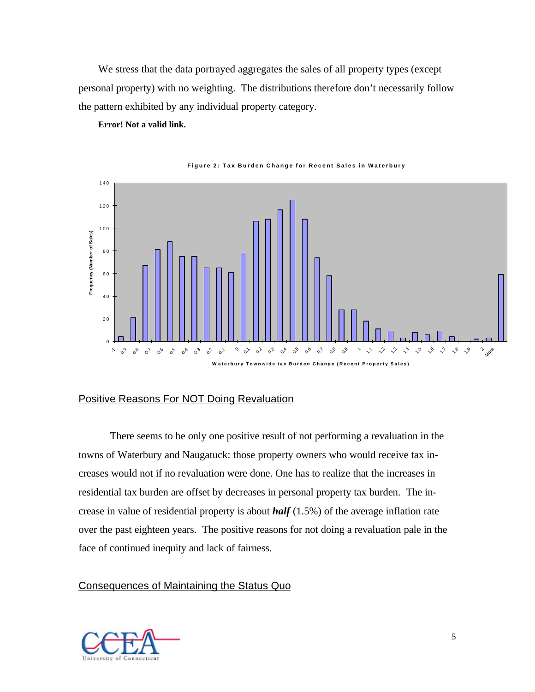We stress that the data portrayed aggregates the sales of all property types (except personal property) with no weighting. The distributions therefore don't necessarily follow the pattern exhibited by any individual property category.

**Error! Not a valid link.**



**Figure 2: Tax Burden Change for Recent Sales in Waterbury**

### Positive Reasons For NOT Doing Revaluation

There seems to be only one positive result of not performing a revaluation in the towns of Waterbury and Naugatuck: those property owners who would receive tax increases would not if no revaluation were done. One has to realize that the increases in residential tax burden are offset by decreases in personal property tax burden. The increase in value of residential property is about *half* (1.5%) of the average inflation rate over the past eighteen years. The positive reasons for not doing a revaluation pale in the face of continued inequity and lack of fairness.

### Consequences of Maintaining the Status Quo

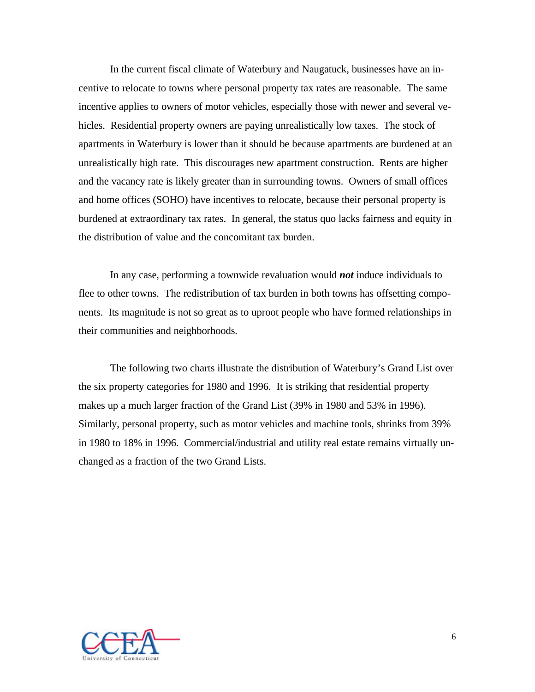In the current fiscal climate of Waterbury and Naugatuck, businesses have an incentive to relocate to towns where personal property tax rates are reasonable. The same incentive applies to owners of motor vehicles, especially those with newer and several vehicles. Residential property owners are paying unrealistically low taxes. The stock of apartments in Waterbury is lower than it should be because apartments are burdened at an unrealistically high rate. This discourages new apartment construction. Rents are higher and the vacancy rate is likely greater than in surrounding towns. Owners of small offices and home offices (SOHO) have incentives to relocate, because their personal property is burdened at extraordinary tax rates. In general, the status quo lacks fairness and equity in the distribution of value and the concomitant tax burden.

In any case, performing a townwide revaluation would *not* induce individuals to flee to other towns. The redistribution of tax burden in both towns has offsetting components. Its magnitude is not so great as to uproot people who have formed relationships in their communities and neighborhoods.

The following two charts illustrate the distribution of Waterbury's Grand List over the six property categories for 1980 and 1996. It is striking that residential property makes up a much larger fraction of the Grand List (39% in 1980 and 53% in 1996). Similarly, personal property, such as motor vehicles and machine tools, shrinks from 39% in 1980 to 18% in 1996. Commercial/industrial and utility real estate remains virtually unchanged as a fraction of the two Grand Lists.

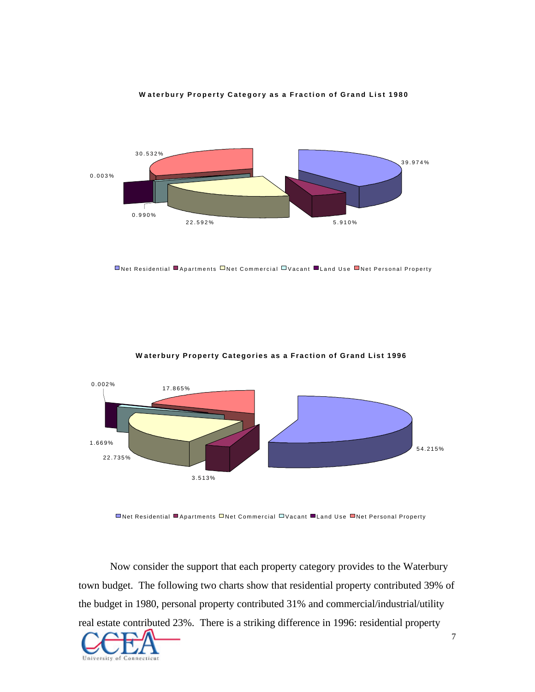



Net Residential Apartments Net Commercial Vacant Land Use Net Personal Property



#### **W aterbury Property Categories as a Fraction of Grand List 1996**

**■Net Residential ■Apartments □Net Commercial □Vacant ■Land Use ■Net Personal Property** 

Now consider the support that each property category provides to the Waterbury town budget. The following two charts show that residential property contributed 39% of the budget in 1980, personal property contributed 31% and commercial/industrial/utility real estate contributed 23%. There is a striking difference in 1996: residential property

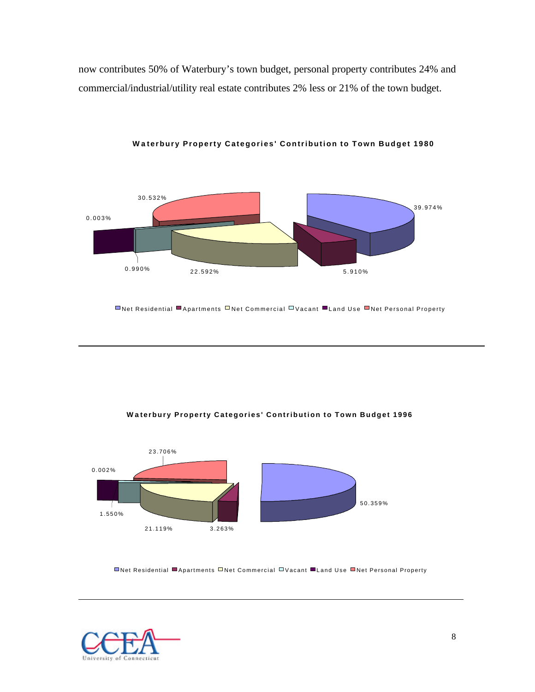now contributes 50% of Waterbury's town budget, personal property contributes 24% and commercial/industrial/utility real estate contributes 2% less or 21% of the town budget.



**W a terbury Property Categories' Contribution to Town Budget 1980**

Net Residential Apartments Net Commercial Vacant Land Use Net Personal Property





Net Residential Apartments Net Commercial Vacant Land Use Net Personal Property

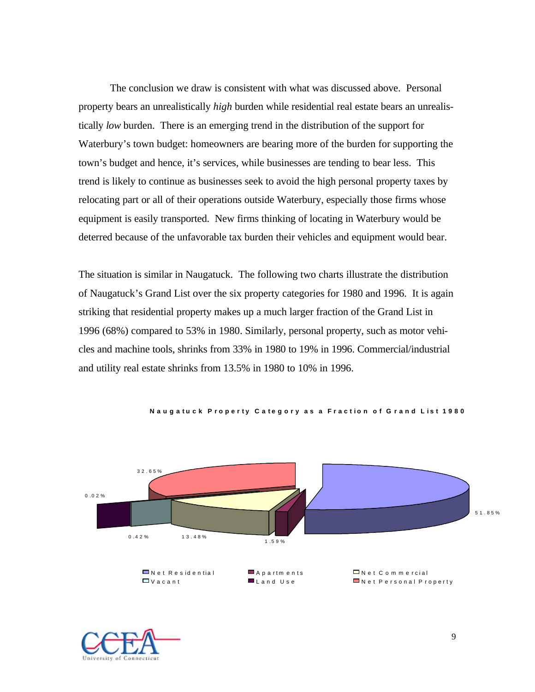The conclusion we draw is consistent with what was discussed above. Personal property bears an unrealistically *high* burden while residential real estate bears an unrealistically *low* burden. There is an emerging trend in the distribution of the support for Waterbury's town budget: homeowners are bearing more of the burden for supporting the town's budget and hence, it's services, while businesses are tending to bear less. This trend is likely to continue as businesses seek to avoid the high personal property taxes by relocating part or all of their operations outside Waterbury, especially those firms whose equipment is easily transported. New firms thinking of locating in Waterbury would be deterred because of the unfavorable tax burden their vehicles and equipment would bear.

The situation is similar in Naugatuck. The following two charts illustrate the distribution of Naugatuck's Grand List over the six property categories for 1980 and 1996. It is again striking that residential property makes up a much larger fraction of the Grand List in 1996 (68%) compared to 53% in 1980. Similarly, personal property, such as motor vehicles and machine tools, shrinks from 33% in 1980 to 19% in 1996. Commercial/industrial and utility real estate shrinks from 13.5% in 1980 to 10% in 1996.



**Nauga t uck P r oper t y Ca t ego ry as a Fract i on o f G rand L i s t 1980**

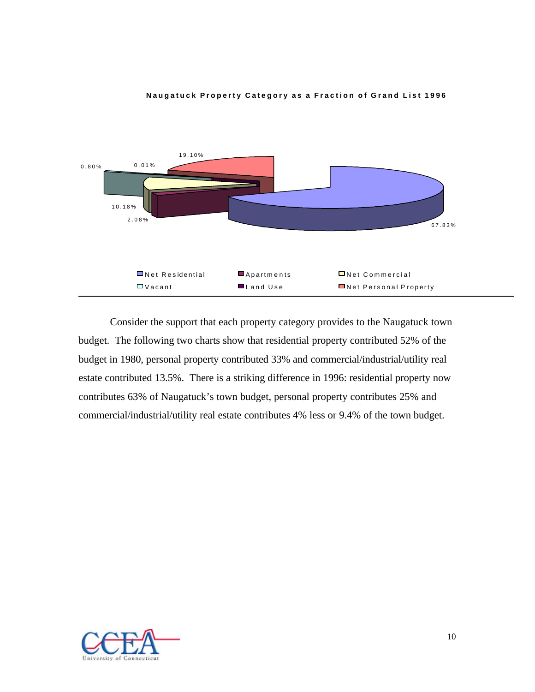

#### **Naugatuck Property Category as a Fraction of Grand List 1996**

Consider the support that each property category provides to the Naugatuck town budget. The following two charts show that residential property contributed 52% of the budget in 1980, personal property contributed 33% and commercial/industrial/utility real estate contributed 13.5%. There is a striking difference in 1996: residential property now contributes 63% of Naugatuck's town budget, personal property contributes 25% and commercial/industrial/utility real estate contributes 4% less or 9.4% of the town budget.

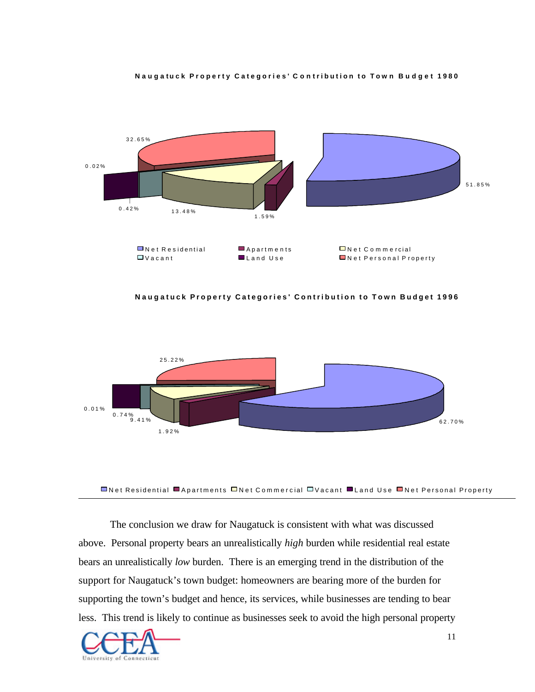



**Nauga tuck Property Categories' Contribution to Town Budget 1996**



**■Net Residential ■Apartments □Net Commercial □Vacant ■Land Use ■Net Personal Property** 

The conclusion we draw for Naugatuck is consistent with what was discussed above. Personal property bears an unrealistically *high* burden while residential real estate bears an unrealistically *low* burden. There is an emerging trend in the distribution of the support for Naugatuck's town budget: homeowners are bearing more of the burden for supporting the town's budget and hence, its services, while businesses are tending to bear less. This trend is likely to continue as businesses seek to avoid the high personal property

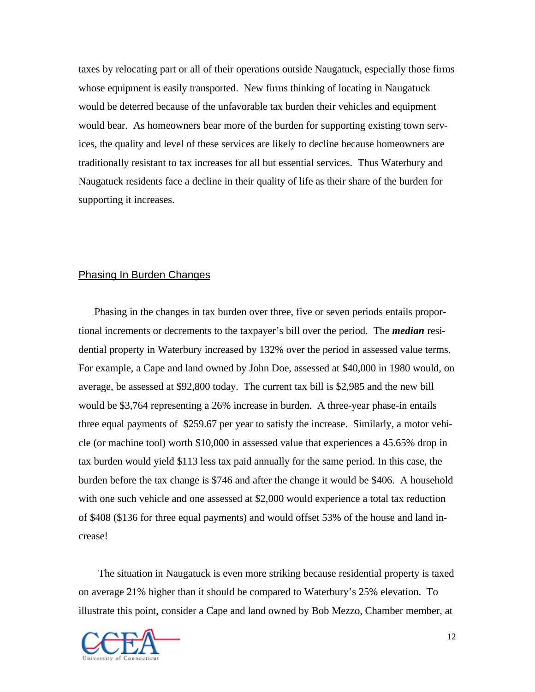taxes by relocating part or all of their operations outside Naugatuck, especially those firms whose equipment is easily transported. New firms thinking of locating in Naugatuck would be deterred because of the unfavorable tax burden their vehicles and equipment would bear. As homeowners bear more of the burden for supporting existing town services, the quality and level of these services are likely to decline because homeowners are traditionally resistant to tax increases for all but essential services. Thus Waterbury and Naugatuck residents face a decline in their quality of life as their share of the burden for supporting it increases.

# Phasing In Burden Changes

Phasing in the changes in tax burden over three, five or seven periods entails proportional increments or decrements to the taxpayer's bill over the period. The *median* residential property in Waterbury increased by 132% over the period in assessed value terms. For example, a Cape and land owned by John Doe, assessed at \$40,000 in 1980 would, on average, be assessed at \$92,800 today. The current tax bill is \$2,985 and the new bill would be \$3,764 representing a 26% increase in burden. A three-year phase-in entails three equal payments of \$259.67 per year to satisfy the increase. Similarly, a motor vehicle (or machine tool) worth \$10,000 in assessed value that experiences a 45.65% drop in tax burden would yield \$113 less tax paid annually for the same period. In this case, the burden before the tax change is \$746 and after the change it would be \$406. A household with one such vehicle and one assessed at \$2,000 would experience a total tax reduction of \$408 (\$136 for three equal payments) and would offset 53% of the house and land increase!

The situation in Naugatuck is even more striking because residential property is taxed on average 21% higher than it should be compared to Waterbury's 25% elevation. To illustrate this point, consider a Cape and land owned by Bob Mezzo, Chamber member, at

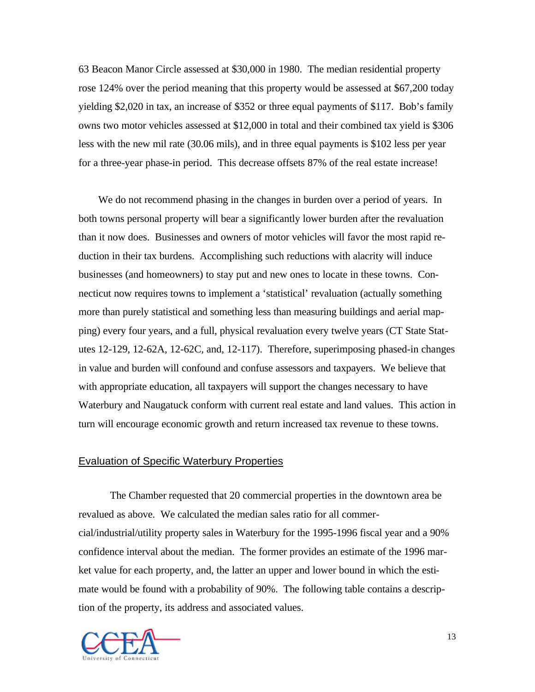63 Beacon Manor Circle assessed at \$30,000 in 1980. The median residential property rose 124% over the period meaning that this property would be assessed at \$67,200 today yielding \$2,020 in tax, an increase of \$352 or three equal payments of \$117. Bob's family owns two motor vehicles assessed at \$12,000 in total and their combined tax yield is \$306 less with the new mil rate (30.06 mils), and in three equal payments is \$102 less per year for a three-year phase-in period. This decrease offsets 87% of the real estate increase!

We do not recommend phasing in the changes in burden over a period of years. In both towns personal property will bear a significantly lower burden after the revaluation than it now does. Businesses and owners of motor vehicles will favor the most rapid reduction in their tax burdens. Accomplishing such reductions with alacrity will induce businesses (and homeowners) to stay put and new ones to locate in these towns. Connecticut now requires towns to implement a 'statistical' revaluation (actually something more than purely statistical and something less than measuring buildings and aerial mapping) every four years, and a full, physical revaluation every twelve years (CT State Statutes 12-129, 12-62A, 12-62C, and, 12-117). Therefore, superimposing phased-in changes in value and burden will confound and confuse assessors and taxpayers. We believe that with appropriate education, all taxpayers will support the changes necessary to have Waterbury and Naugatuck conform with current real estate and land values. This action in turn will encourage economic growth and return increased tax revenue to these towns.

## Evaluation of Specific Waterbury Properties

The Chamber requested that 20 commercial properties in the downtown area be revalued as above. We calculated the median sales ratio for all commercial/industrial/utility property sales in Waterbury for the 1995-1996 fiscal year and a 90% confidence interval about the median. The former provides an estimate of the 1996 market value for each property, and, the latter an upper and lower bound in which the estimate would be found with a probability of 90%. The following table contains a description of the property, its address and associated values.

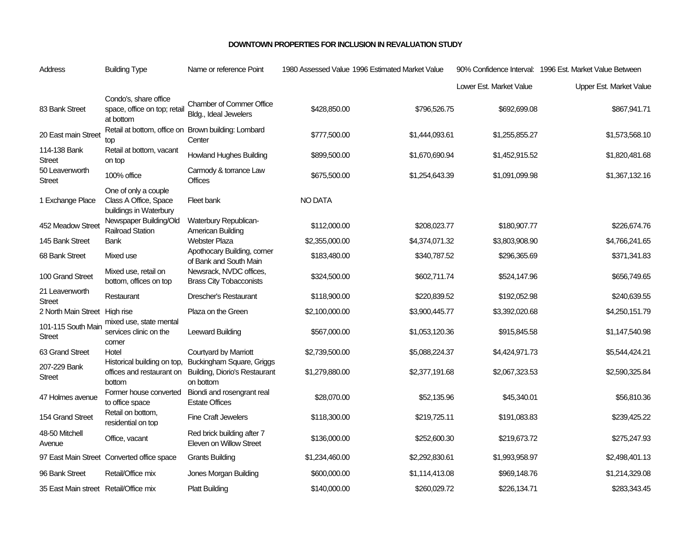#### **DOWNTOWN PROPERTIES FOR INCLUSION IN REVALUATION STUDY**

| Address                               | <b>Building Type</b>                                                    | Name or reference Point                                                        |                | 1980 Assessed Value 1996 Estimated Market Value |                         | 90% Confidence Interval: 1996 Est. Market Value Between |
|---------------------------------------|-------------------------------------------------------------------------|--------------------------------------------------------------------------------|----------------|-------------------------------------------------|-------------------------|---------------------------------------------------------|
|                                       |                                                                         |                                                                                |                |                                                 | Lower Est. Market Value | Upper Est. Market Value                                 |
| 83 Bank Street                        | Condo's, share office<br>space, office on top; retail<br>at bottom      | <b>Chamber of Commer Office</b><br>Bldg., Ideal Jewelers                       | \$428,850.00   | \$796,526.75                                    | \$692,699.08            | \$867,941.71                                            |
| 20 East main Street                   | top                                                                     | Retail at bottom, office on Brown building: Lombard<br>Center                  | \$777,500.00   | \$1,444,093.61                                  | \$1,255,855.27          | \$1,573,568.10                                          |
| 114-138 Bank<br><b>Street</b>         | Retail at bottom, vacant<br>on top                                      | <b>Howland Hughes Building</b>                                                 | \$899,500.00   | \$1,670,690.94                                  | \$1,452,915.52          | \$1,820,481.68                                          |
| 50 Leavenworth<br><b>Street</b>       | 100% office                                                             | Carmody & torrance Law<br><b>Offices</b>                                       | \$675,500.00   | \$1,254,643.39                                  | \$1,091,099.98          | \$1,367,132.16                                          |
| 1 Exchange Place                      | One of only a couple<br>Class A Office, Space<br>buildings in Waterbury | Fleet bank                                                                     | <b>NO DATA</b> |                                                 |                         |                                                         |
| 452 Meadow Street                     | Newspaper Building/Old<br><b>Railroad Station</b>                       | Waterbury Republican-<br>American Building                                     | \$112,000.00   | \$208,023.77                                    | \$180,907.77            | \$226,674.76                                            |
| 145 Bank Street                       | Bank                                                                    | <b>Webster Plaza</b>                                                           | \$2,355,000.00 | \$4,374,071.32                                  | \$3,803,908.90          | \$4,766,241.65                                          |
| 68 Bank Street                        | Mixed use                                                               | Apothocary Building, corner<br>of Bank and South Main                          | \$183,480.00   | \$340,787.52                                    | \$296,365.69            | \$371,341.83                                            |
| 100 Grand Street                      | Mixed use, retail on<br>bottom, offices on top                          | Newsrack, NVDC offices,<br><b>Brass City Tobacconists</b>                      | \$324,500.00   | \$602,711.74                                    | \$524,147.96            | \$656,749.65                                            |
| 21 Leavenworth<br><b>Street</b>       | Restaurant                                                              | <b>Drescher's Restaurant</b>                                                   | \$118,900.00   | \$220,839.52                                    | \$192,052.98            | \$240,639.55                                            |
| 2 North Main Street High rise         |                                                                         | Plaza on the Green                                                             | \$2,100,000.00 | \$3,900,445.77                                  | \$3,392,020.68          | \$4,250,151.79                                          |
| 101-115 South Main<br><b>Street</b>   | mixed use, state mental<br>services clinic on the<br>corner             | Leeward Building                                                               | \$567,000.00   | \$1,053,120.36                                  | \$915,845.58            | \$1,147,540.98                                          |
| 63 Grand Street                       | Hotel                                                                   | Courtyard by Marriott                                                          | \$2,739,500.00 | \$5,088,224.37                                  | \$4,424,971.73          | \$5,544,424.21                                          |
| 207-229 Bank<br><b>Street</b>         | Historical building on top,<br>offices and restaurant on<br>bottom      | Buckingham Square, Griggs<br><b>Building, Diorio's Restaurant</b><br>on bottom | \$1,279,880.00 | \$2,377,191.68                                  | \$2,067,323.53          | \$2,590,325.84                                          |
| 47 Holmes avenue                      | Former house converted<br>to office space                               | Biondi and rosengrant real<br><b>Estate Offices</b>                            | \$28,070.00    | \$52,135.96                                     | \$45,340.01             | \$56,810.36                                             |
| 154 Grand Street                      | Retail on bottom,<br>residential on top                                 | <b>Fine Craft Jewelers</b>                                                     | \$118,300.00   | \$219,725.11                                    | \$191,083.83            | \$239,425.22                                            |
| 48-50 Mitchell<br>Avenue              | Office, vacant                                                          | Red brick building after 7<br>Eleven on Willow Street                          | \$136,000.00   | \$252,600.30                                    | \$219,673.72            | \$275,247.93                                            |
|                                       | 97 East Main Street Converted office space                              | Grants Building                                                                | \$1,234,460.00 | \$2,292,830.61                                  | \$1,993,958.97          | \$2,498,401.13                                          |
| 96 Bank Street                        | Retail/Office mix                                                       | Jones Morgan Building                                                          | \$600,000.00   | \$1,114,413.08                                  | \$969,148.76            | \$1,214,329.08                                          |
| 35 East Main street Retail/Office mix |                                                                         | <b>Platt Building</b>                                                          | \$140,000.00   | \$260,029.72                                    | \$226,134.71            | \$283,343.45                                            |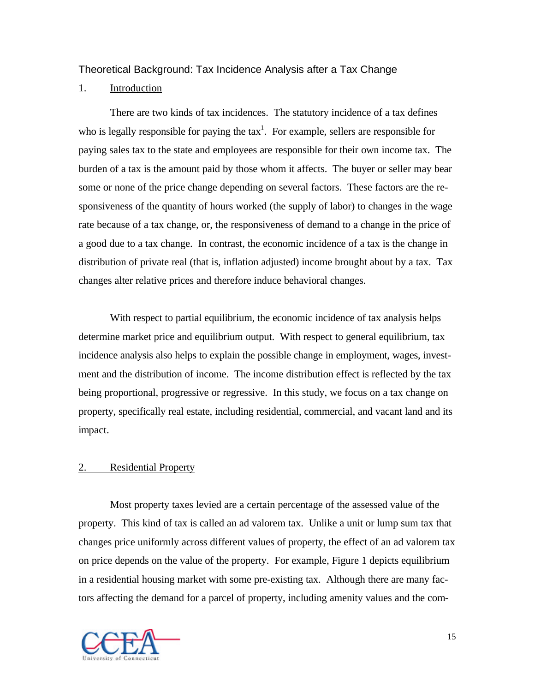# Theoretical Background: Tax Incidence Analysis after a Tax Change

# 1. Introduction

There are two kinds of tax incidences. The statutory incidence of a tax defines who is legally responsible for paying the  $tax<sup>1</sup>$ . For example, sellers are responsible for paying sales tax to the state and employees are responsible for their own income tax. The burden of a tax is the amount paid by those whom it affects. The buyer or seller may bear some or none of the price change depending on several factors. These factors are the responsiveness of the quantity of hours worked (the supply of labor) to changes in the wage rate because of a tax change, or, the responsiveness of demand to a change in the price of a good due to a tax change. In contrast, the economic incidence of a tax is the change in distribution of private real (that is, inflation adjusted) income brought about by a tax. Tax changes alter relative prices and therefore induce behavioral changes.

With respect to partial equilibrium, the economic incidence of tax analysis helps determine market price and equilibrium output. With respect to general equilibrium, tax incidence analysis also helps to explain the possible change in employment, wages, investment and the distribution of income. The income distribution effect is reflected by the tax being proportional, progressive or regressive. In this study, we focus on a tax change on property, specifically real estate, including residential, commercial, and vacant land and its impact.

## 2. Residential Property

Most property taxes levied are a certain percentage of the assessed value of the property. This kind of tax is called an ad valorem tax. Unlike a unit or lump sum tax that changes price uniformly across different values of property, the effect of an ad valorem tax on price depends on the value of the property. For example, Figure 1 depicts equilibrium in a residential housing market with some pre-existing tax. Although there are many factors affecting the demand for a parcel of property, including amenity values and the com-

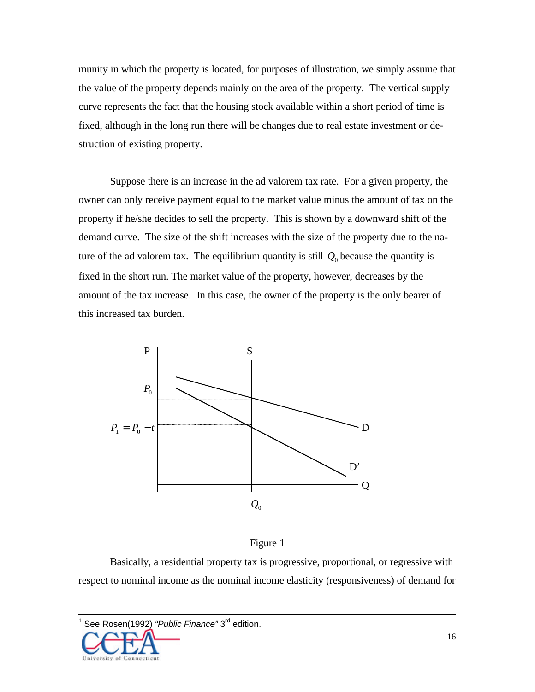munity in which the property is located, for purposes of illustration, we simply assume that the value of the property depends mainly on the area of the property. The vertical supply curve represents the fact that the housing stock available within a short period of time is fixed, although in the long run there will be changes due to real estate investment or destruction of existing property.

Suppose there is an increase in the ad valorem tax rate. For a given property, the owner can only receive payment equal to the market value minus the amount of tax on the property if he/she decides to sell the property. This is shown by a downward shift of the demand curve. The size of the shift increases with the size of the property due to the nature of the ad valorem tax. The equilibrium quantity is still  $Q_0$  because the quantity is fixed in the short run. The market value of the property, however, decreases by the amount of the tax increase. In this case, the owner of the property is the only bearer of this increased tax burden.



## Figure 1

Basically, a residential property tax is progressive, proportional, or regressive with respect to nominal income as the nominal income elasticity (responsiveness) of demand for

<sup>1</sup> See Rosen(1992) *"Public Finance"* 3rd edition.



 $\overline{\phantom{a}}$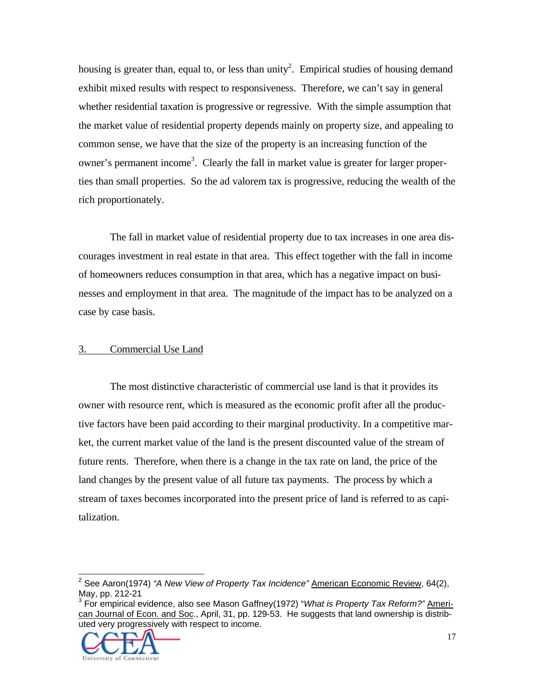housing is greater than, equal to, or less than unity<sup>2</sup>. Empirical studies of housing demand exhibit mixed results with respect to responsiveness. Therefore, we can't say in general whether residential taxation is progressive or regressive. With the simple assumption that the market value of residential property depends mainly on property size, and appealing to common sense, we have that the size of the property is an increasing function of the owner's permanent income<sup>3</sup>. Clearly the fall in market value is greater for larger properties than small properties. So the ad valorem tax is progressive, reducing the wealth of the rich proportionately.

The fall in market value of residential property due to tax increases in one area discourages investment in real estate in that area. This effect together with the fall in income of homeowners reduces consumption in that area, which has a negative impact on businesses and employment in that area. The magnitude of the impact has to be analyzed on a case by case basis.

### 3. Commercial Use Land

The most distinctive characteristic of commercial use land is that it provides its owner with resource rent, which is measured as the economic profit after all the productive factors have been paid according to their marginal productivity. In a competitive market, the current market value of the land is the present discounted value of the stream of future rents. Therefore, when there is a change in the tax rate on land, the price of the land changes by the present value of all future tax payments. The process by which a stream of taxes becomes incorporated into the present price of land is referred to as capitalization.

can Journal of Econ. and Soc., April, 31, pp. 129-53. He suggests that land ownership is distributed very progressively with respect to income.



 2 See Aaron(1974) *"A New View of Property Tax Incidence"* American Economic Review, 64(2), May, pp. 212-21<br><sup>3</sup> For empirical evidence, also see Mason Gaffney(1972) "*What is Property Tax Reform?"* <u>Ameri-</u>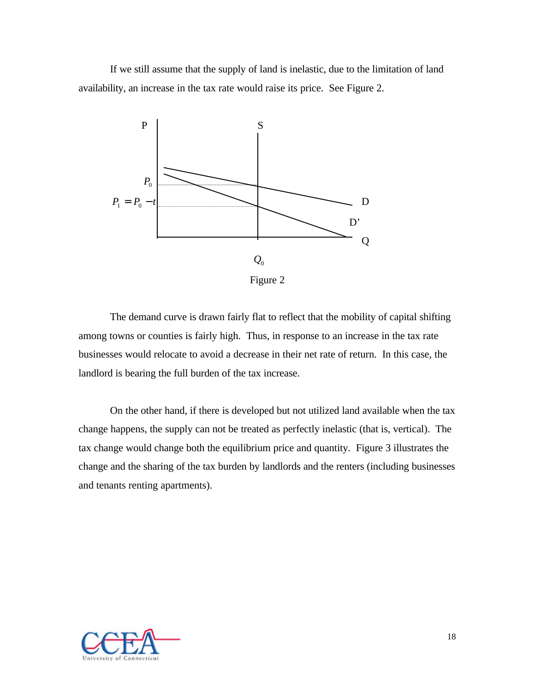If we still assume that the supply of land is inelastic, due to the limitation of land availability, an increase in the tax rate would raise its price. See Figure 2.



The demand curve is drawn fairly flat to reflect that the mobility of capital shifting among towns or counties is fairly high. Thus, in response to an increase in the tax rate businesses would relocate to avoid a decrease in their net rate of return. In this case, the landlord is bearing the full burden of the tax increase.

On the other hand, if there is developed but not utilized land available when the tax change happens, the supply can not be treated as perfectly inelastic (that is, vertical). The tax change would change both the equilibrium price and quantity. Figure 3 illustrates the change and the sharing of the tax burden by landlords and the renters (including businesses and tenants renting apartments).

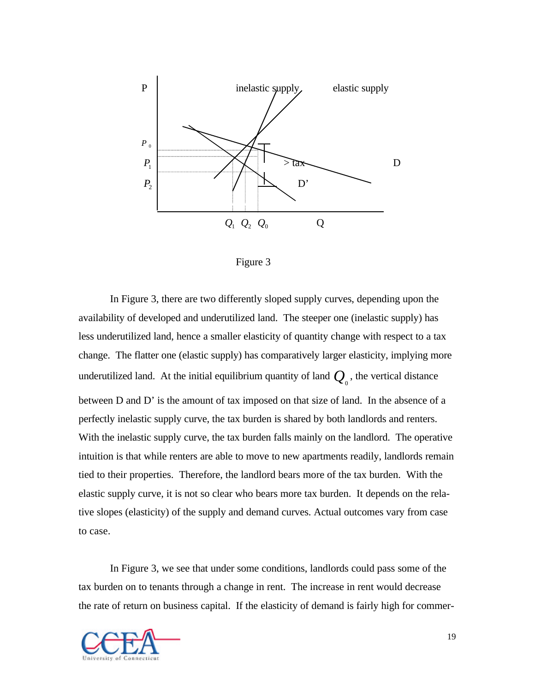

Figure 3

In Figure 3, there are two differently sloped supply curves, depending upon the availability of developed and underutilized land. The steeper one (inelastic supply) has less underutilized land, hence a smaller elasticity of quantity change with respect to a tax change. The flatter one (elastic supply) has comparatively larger elasticity, implying more underutilized land. At the initial equilibrium quantity of land  $Q_{\scriptscriptstyle 0}^{\scriptscriptstyle 0}$ , the vertical distance between D and D' is the amount of tax imposed on that size of land. In the absence of a perfectly inelastic supply curve, the tax burden is shared by both landlords and renters. With the inelastic supply curve, the tax burden falls mainly on the landlord. The operative intuition is that while renters are able to move to new apartments readily, landlords remain tied to their properties. Therefore, the landlord bears more of the tax burden. With the elastic supply curve, it is not so clear who bears more tax burden. It depends on the relative slopes (elasticity) of the supply and demand curves. Actual outcomes vary from case to case.

In Figure 3, we see that under some conditions, landlords could pass some of the tax burden on to tenants through a change in rent. The increase in rent would decrease the rate of return on business capital. If the elasticity of demand is fairly high for commer-

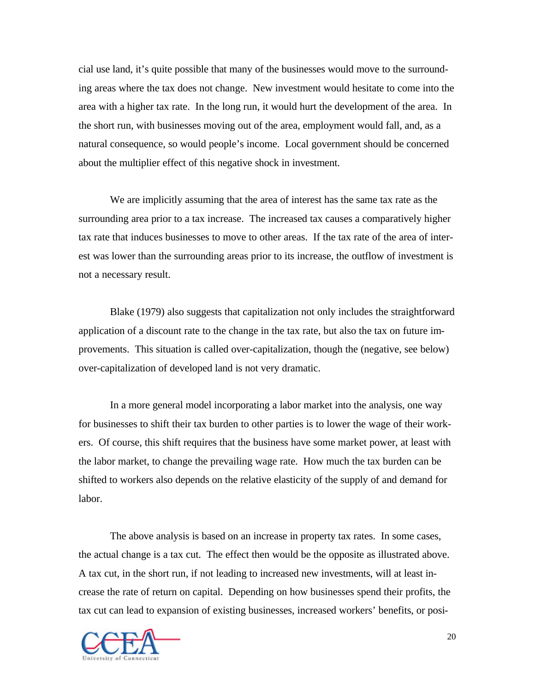cial use land, it's quite possible that many of the businesses would move to the surrounding areas where the tax does not change. New investment would hesitate to come into the area with a higher tax rate. In the long run, it would hurt the development of the area. In the short run, with businesses moving out of the area, employment would fall, and, as a natural consequence, so would people's income. Local government should be concerned about the multiplier effect of this negative shock in investment.

We are implicitly assuming that the area of interest has the same tax rate as the surrounding area prior to a tax increase. The increased tax causes a comparatively higher tax rate that induces businesses to move to other areas. If the tax rate of the area of interest was lower than the surrounding areas prior to its increase, the outflow of investment is not a necessary result.

Blake (1979) also suggests that capitalization not only includes the straightforward application of a discount rate to the change in the tax rate, but also the tax on future improvements. This situation is called over-capitalization, though the (negative, see below) over-capitalization of developed land is not very dramatic.

In a more general model incorporating a labor market into the analysis, one way for businesses to shift their tax burden to other parties is to lower the wage of their workers. Of course, this shift requires that the business have some market power, at least with the labor market, to change the prevailing wage rate. How much the tax burden can be shifted to workers also depends on the relative elasticity of the supply of and demand for labor.

The above analysis is based on an increase in property tax rates. In some cases, the actual change is a tax cut. The effect then would be the opposite as illustrated above. A tax cut, in the short run, if not leading to increased new investments, will at least increase the rate of return on capital. Depending on how businesses spend their profits, the tax cut can lead to expansion of existing businesses, increased workers' benefits, or posi-